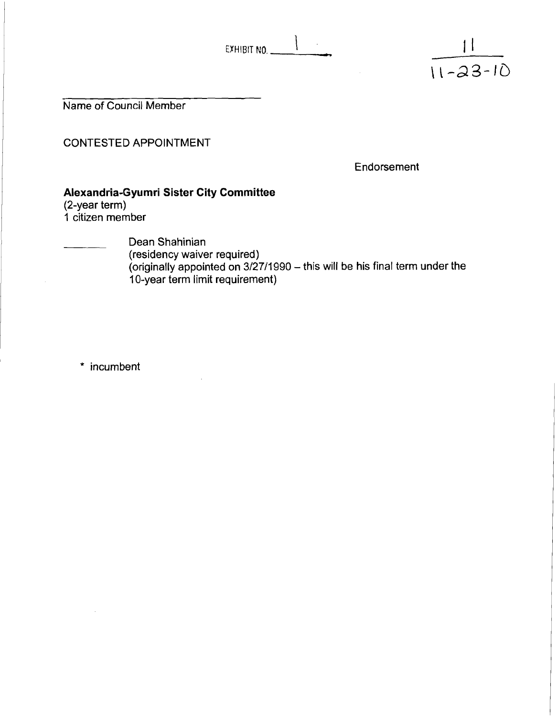EXHIBIT NO.

Name of Council Member

CONTESTED APPOINTMENT

Endorsement

 $\frac{11}{11-23-10}$ 

#### **Alexandria-Gyumri Sister City Committee**

(2-year term)

1 citizen member

Dean Shahinian

(residency waiver required) (originally appointed on 3/27/1990 - this will be his final term under the 10-year term limit requirement)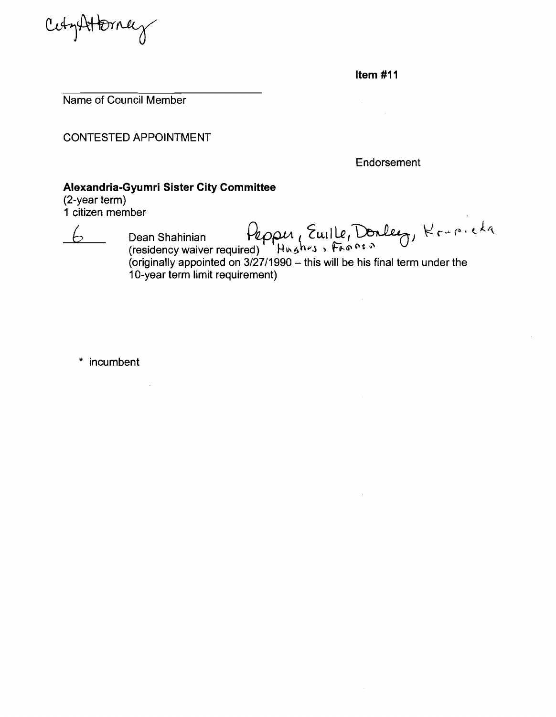Cety Httpracy

**Item** #I **<sup>1</sup>**

 $\label{eq:2} \frac{d\mathbf{r}}{d\mathbf{r}} = \frac{1}{2\pi\epsilon_0}\frac{d\mathbf{r}}{d\mathbf{r}}$ 

Name of Council Member

CONTESTED APPOINTMENT

Endorsement

## **Alexandria-Gyumri Sister City Committee**

(2-year term) 1 citizen member

6 Dean Shahinian Pepper, Euille, Donleeg, Krupicka

 $\sim$ 

 $\sim 10^7$ 

(residency waiver required) Hոঙ<sup>n</sup>Հ১১ াকজপফ'<br>(originally appointed on 3/27/1990 – this will be his final term under the 10-year term limit requirement)

\* incumbent

 $\sim 10$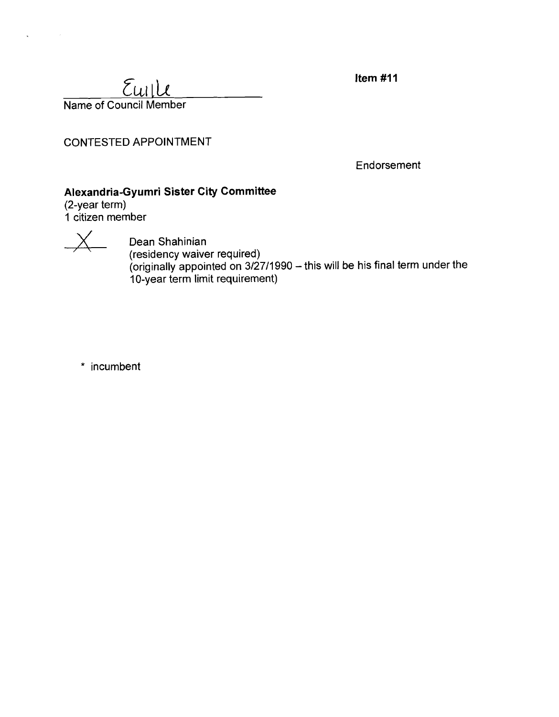**Item #11** 

 $E$ *uile* Name of Council Member

CONTESTED APPOINTMENT

Endorsement

# **Alexandria-Gyumri Sister City Committee**

(2-year term) 1 citizen member



L.

 $\chi$  Dean Shahinian (residency waiver required) originally appointed on 3/27/1990 – this will be his final term under the  $\,$ 10-year term limit requirement)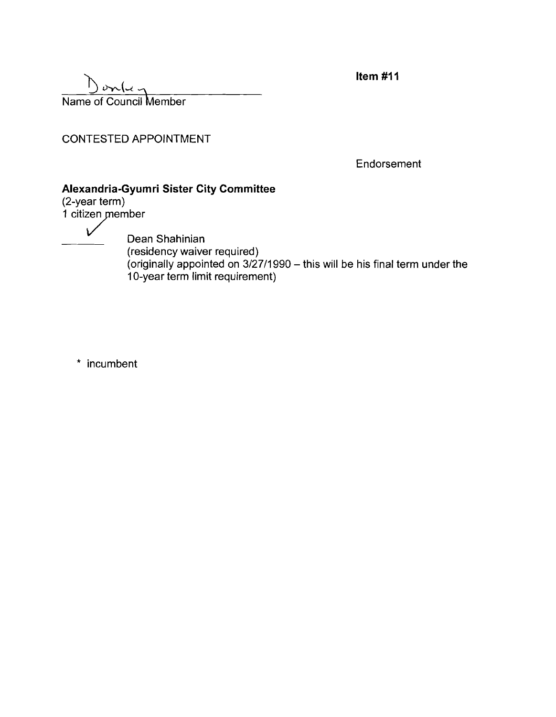Item  $#11$ 

<u>3<br>3 Junie</u><br>23 Mame of Council Member

CONTESTED APPOINTMENT

Endorsement

# **Alexandria-Gyumri Sister City Committee**

(2-year term)  $1$  citizen member

 $\nu$  Dean Shahinian (residency waiver required) (originally appointed on 312711 990 - this will be his final term under the 10-year term limit requirement)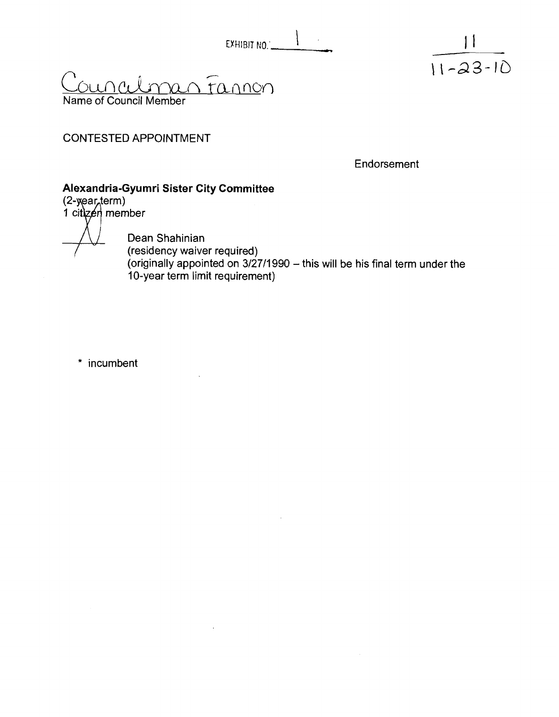| EXHIBIT NO. |  |  |
|-------------|--|--|

<u>rannon</u> Name of Council Member

# CONTESTED APPOINTMENT

Endorsement

 $\vert \ \vert$ 

 $\frac{11-23-10}{11-23-10}$ 

## **Alexandria-Gyumri Sister City Committee**

 $(2$ -year term)<br>1 citizen member

Dean Shahinian residency waiver required)<br>originally appointed on 3/27/1990 – this will be his final term under the 10-year term limit requirement)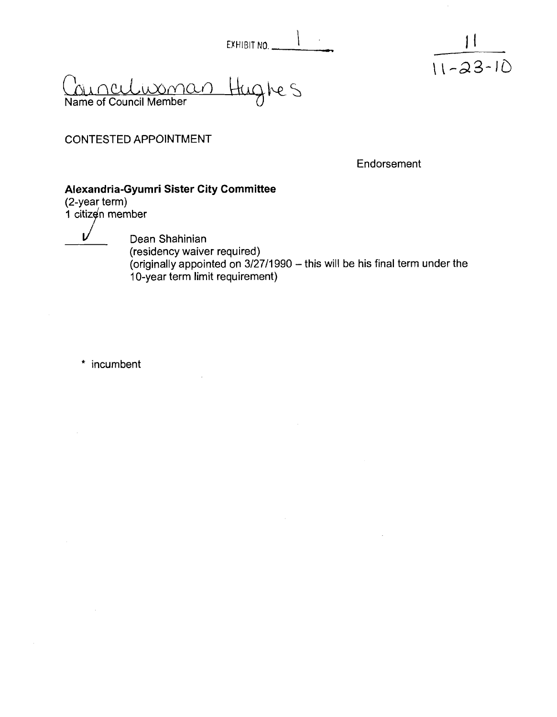EXHIBIT NO. ..

<u>umman</u> Hughes Name of Council Member

CONTESTED APPOINTMENT

Endorsement

 $11$ 

 $11 - 23 - 10$ 

# **Alexandria-Gyumri Sister City Committee**

1 citizen member

 $\mathbf{L}$ 

Dean Shahinian (residency waiver required) (originally appointed on  $3/27/1990$  – this will be his final term under the 10-year term limit requirement)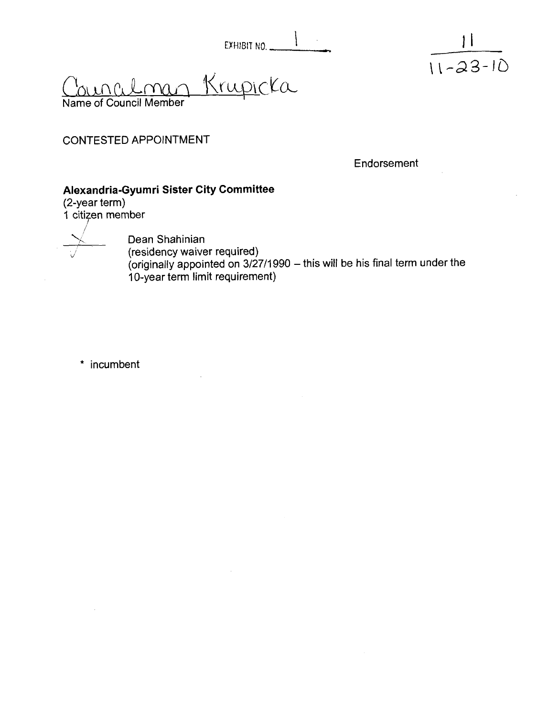| EXHIBIT NO. |  |  |
|-------------|--|--|

<u>Krupicka</u> Name of Council Member

CONTESTED APPOINTMENT

**Endorsement** 

 $\frac{1}{11-23-10}$ 

## **Alexandria-Gyumri Sister City Committee**

(2-year term) 1 citizen member

CONTESTED APPOINTMENT<br>
Alexandria-Gyumri Sister City<br>
(2-year term)<br>
1 citizen member<br>
Dean Shahinian<br>
(residency waiver<br>
(originally appoint)  $\beta$  (residency waiver required)<br>(originally appointed on 3/27/1990 – this will be his final term under the 10-year term limit requirement)